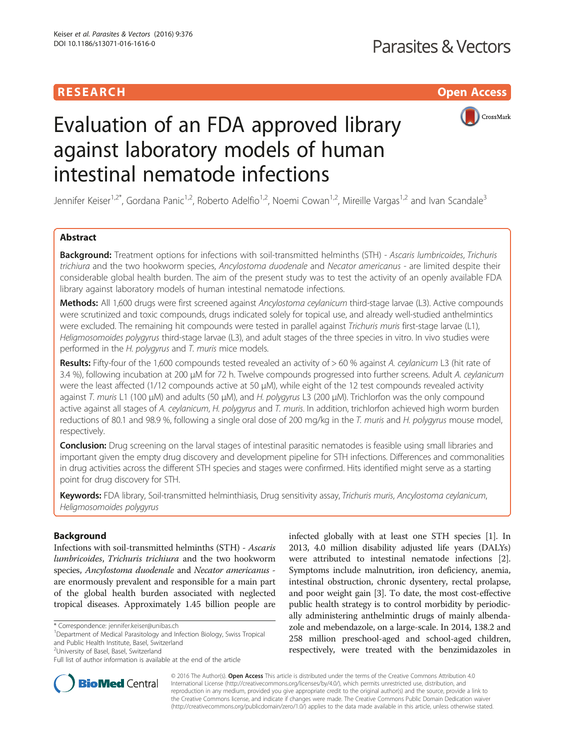# **RESEARCH CHILD CONTROL** CONTROL CONTROL CONTROL CONTROL CONTROL CONTROL CONTROL CONTROL CONTROL CONTROL CONTROL



# Evaluation of an FDA approved library against laboratory models of human intestinal nematode infections

Jennifer Keiser<sup>1,2\*</sup>, Gordana Panic<sup>1,2</sup>, Roberto Adelfio<sup>1,2</sup>, Noemi Cowan<sup>1,2</sup>, Mireille Vargas<sup>1,2</sup> and Ivan Scandale<sup>3</sup>

## Abstract

Background: Treatment options for infections with soil-transmitted helminths (STH) - Ascaris lumbricoides, Trichuris trichiura and the two hookworm species, Ancylostoma duodenale and Necator americanus - are limited despite their considerable global health burden. The aim of the present study was to test the activity of an openly available FDA library against laboratory models of human intestinal nematode infections.

Methods: All 1,600 drugs were first screened against Ancylostoma ceylanicum third-stage larvae (L3). Active compounds were scrutinized and toxic compounds, drugs indicated solely for topical use, and already well-studied anthelmintics were excluded. The remaining hit compounds were tested in parallel against Trichuris muris first-stage larvae (L1), Heligmosomoides polygyrus third-stage larvae (L3), and adult stages of the three species in vitro. In vivo studies were performed in the H. polygyrus and T. muris mice models.

Results: Fifty-four of the 1,600 compounds tested revealed an activity of > 60 % against A. ceylanicum L3 (hit rate of 3.4 %), following incubation at 200 μM for 72 h. Twelve compounds progressed into further screens. Adult A. ceylanicum were the least affected (1/12 compounds active at 50 μM), while eight of the 12 test compounds revealed activity against T. muris L1 (100 μM) and adults (50 μM), and H. polygyrus L3 (200 μM). Trichlorfon was the only compound active against all stages of A. ceylanicum, H. polygyrus and T. muris. In addition, trichlorfon achieved high worm burden reductions of 80.1 and 98.9 %, following a single oral dose of 200 mg/kg in the T. muris and H. polygyrus mouse model, respectively.

Conclusion: Drug screening on the larval stages of intestinal parasitic nematodes is feasible using small libraries and important given the empty drug discovery and development pipeline for STH infections. Differences and commonalities in drug activities across the different STH species and stages were confirmed. Hits identified might serve as a starting point for drug discovery for STH.

Keywords: FDA library, Soil-transmitted helminthiasis, Drug sensitivity assay, Trichuris muris, Ancylostoma ceylanicum, Heligmosomoides polygyrus

## Background

Infections with soil-transmitted helminths (STH) - Ascaris lumbricoides, Trichuris trichiura and the two hookworm species, Ancylostoma duodenale and Necator americanus are enormously prevalent and responsible for a main part of the global health burden associated with neglected tropical diseases. Approximately 1.45 billion people are

<sup>1</sup>Department of Medical Parasitology and Infection Biology, Swiss Tropical and Public Health Institute, Basel, Switzerland

infected globally with at least one STH species [\[1\]](#page-8-0). In 2013, 4.0 million disability adjusted life years (DALYs) were attributed to intestinal nematode infections [[2](#page-8-0)]. Symptoms include malnutrition, iron deficiency, anemia, intestinal obstruction, chronic dysentery, rectal prolapse, and poor weight gain [\[3](#page-8-0)]. To date, the most cost-effective public health strategy is to control morbidity by periodically administering anthelmintic drugs of mainly albendazole and mebendazole, on a large-scale. In 2014, 138.2 and 258 million preschool-aged and school-aged children, respectively, were treated with the benzimidazoles in



© 2016 The Author(s). Open Access This article is distributed under the terms of the Creative Commons Attribution 4.0 International License [\(http://creativecommons.org/licenses/by/4.0/](http://creativecommons.org/licenses/by/4.0/)), which permits unrestricted use, distribution, and reproduction in any medium, provided you give appropriate credit to the original author(s) and the source, provide a link to the Creative Commons license, and indicate if changes were made. The Creative Commons Public Domain Dedication waiver [\(http://creativecommons.org/publicdomain/zero/1.0/](http://creativecommons.org/publicdomain/zero/1.0/)) applies to the data made available in this article, unless otherwise stated.

<sup>\*</sup> Correspondence: [jennifer.keiser@unibas.ch](mailto:jennifer.keiser@unibas.ch) <sup>1</sup>

<sup>&</sup>lt;sup>2</sup>University of Basel, Basel, Switzerland

Full list of author information is available at the end of the article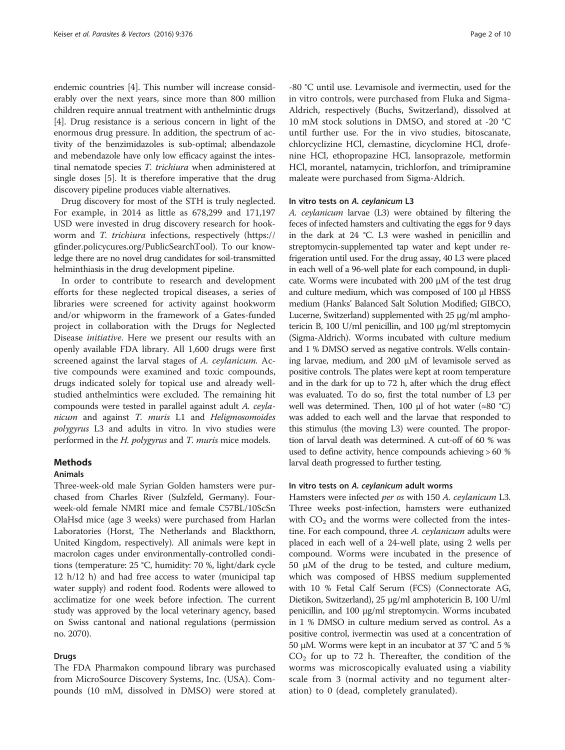endemic countries [[4\]](#page-8-0). This number will increase considerably over the next years, since more than 800 million children require annual treatment with anthelmintic drugs [[4\]](#page-8-0). Drug resistance is a serious concern in light of the enormous drug pressure. In addition, the spectrum of activity of the benzimidazoles is sub-optimal; albendazole and mebendazole have only low efficacy against the intestinal nematode species T. trichiura when administered at single doses [\[5\]](#page-8-0). It is therefore imperative that the drug discovery pipeline produces viable alternatives.

Drug discovery for most of the STH is truly neglected. For example, in 2014 as little as 678,299 and 171,197 USD were invested in drug discovery research for hookworm and T. trichiura infections, respectively ([https://](https://gfinder.policycures.org/PublicSearchTool) [gfinder.policycures.org/PublicSearchTool](https://gfinder.policycures.org/PublicSearchTool)). To our knowledge there are no novel drug candidates for soil-transmitted helminthiasis in the drug development pipeline.

In order to contribute to research and development efforts for these neglected tropical diseases, a series of libraries were screened for activity against hookworm and/or whipworm in the framework of a Gates-funded project in collaboration with the Drugs for Neglected Disease initiative. Here we present our results with an openly available FDA library. All 1,600 drugs were first screened against the larval stages of A. ceylanicum. Active compounds were examined and toxic compounds, drugs indicated solely for topical use and already wellstudied anthelmintics were excluded. The remaining hit compounds were tested in parallel against adult A. ceylanicum and against T. muris L1 and Heligmosomoides polygyrus L3 and adults in vitro. In vivo studies were performed in the H. polygyrus and T. muris mice models.

## **Methods**

#### Animals

Three-week-old male Syrian Golden hamsters were purchased from Charles River (Sulzfeld, Germany). Fourweek-old female NMRI mice and female C57BL/10ScSn OlaHsd mice (age 3 weeks) were purchased from Harlan Laboratories (Horst, The Netherlands and Blackthorn, United Kingdom, respectively). All animals were kept in macrolon cages under environmentally-controlled conditions (temperature: 25 °C, humidity: 70 %, light/dark cycle 12 h/12 h) and had free access to water (municipal tap water supply) and rodent food. Rodents were allowed to acclimatize for one week before infection. The current study was approved by the local veterinary agency, based on Swiss cantonal and national regulations (permission no. 2070).

#### Drugs

The FDA Pharmakon compound library was purchased from MicroSource Discovery Systems, Inc. (USA). Compounds (10 mM, dissolved in DMSO) were stored at

-80 °C until use. Levamisole and ivermectin, used for the in vitro controls, were purchased from Fluka and Sigma-Aldrich, respectively (Buchs, Switzerland), dissolved at 10 mM stock solutions in DMSO, and stored at -20 °C until further use. For the in vivo studies, bitoscanate, chlorcyclizine HCl, clemastine, dicyclomine HCl, drofenine HCl, ethopropazine HCl, lansoprazole, metformin HCl, morantel, natamycin, trichlorfon, and trimipramine maleate were purchased from Sigma-Aldrich.

#### In vitro tests on A. ceylanicum L3

A. ceylanicum larvae (L3) were obtained by filtering the feces of infected hamsters and cultivating the eggs for 9 days in the dark at 24 °C. L3 were washed in penicillin and streptomycin-supplemented tap water and kept under refrigeration until used. For the drug assay, 40 L3 were placed in each well of a 96-well plate for each compound, in duplicate. Worms were incubated with 200 μM of the test drug and culture medium, which was composed of 100 μl HBSS medium (Hanks' Balanced Salt Solution Modified; GIBCO, Lucerne, Switzerland) supplemented with 25 μg/ml amphotericin B, 100 U/ml penicillin, and 100 μg/ml streptomycin (Sigma-Aldrich). Worms incubated with culture medium and 1 % DMSO served as negative controls. Wells containing larvae, medium, and 200 μM of levamisole served as positive controls. The plates were kept at room temperature and in the dark for up to 72 h, after which the drug effect was evaluated. To do so, first the total number of L3 per well was determined. Then, 100 μl of hot water ( $\approx 80$  °C) was added to each well and the larvae that responded to this stimulus (the moving L3) were counted. The proportion of larval death was determined. A cut-off of 60 % was used to define activity, hence compounds achieving > 60 % larval death progressed to further testing.

## In vitro tests on A. ceylanicum adult worms

Hamsters were infected per os with 150 A. ceylanicum L3. Three weeks post-infection, hamsters were euthanized with  $CO<sub>2</sub>$  and the worms were collected from the intestine. For each compound, three A. ceylanicum adults were placed in each well of a 24-well plate, using 2 wells per compound. Worms were incubated in the presence of 50 μM of the drug to be tested, and culture medium, which was composed of HBSS medium supplemented with 10 % Fetal Calf Serum (FCS) (Connectorate AG, Dietikon, Switzerland), 25 μg/ml amphotericin B, 100 U/ml penicillin, and 100 μg/ml streptomycin. Worms incubated in 1 % DMSO in culture medium served as control. As a positive control, ivermectin was used at a concentration of 50 μM. Worms were kept in an incubator at 37 °C and 5 %  $CO<sub>2</sub>$  for up to 72 h. Thereafter, the condition of the worms was microscopically evaluated using a viability scale from 3 (normal activity and no tegument alteration) to 0 (dead, completely granulated).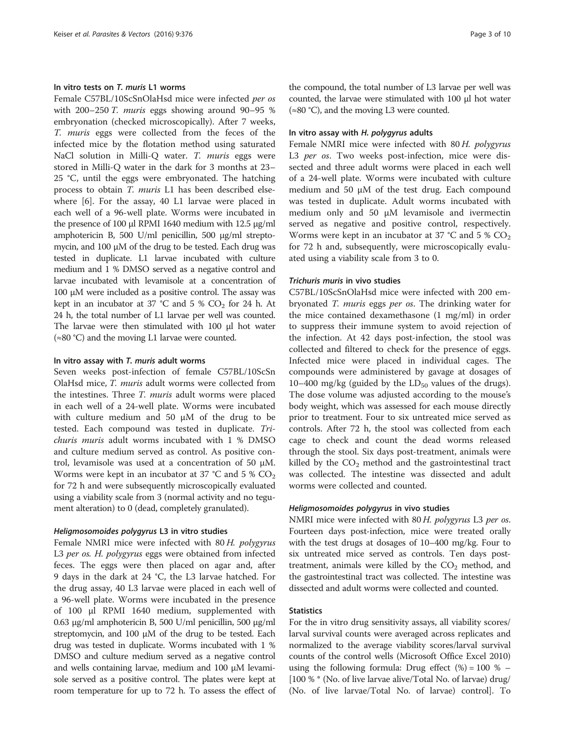## In vitro tests on T. muris L1 worms

Female C57BL/10ScSnOlaHsd mice were infected per os with 200–250 T. muris eggs showing around 90–95 % embryonation (checked microscopically). After 7 weeks, T. muris eggs were collected from the feces of the infected mice by the flotation method using saturated NaCl solution in Milli-Q water. T. muris eggs were stored in Milli-Q water in the dark for 3 months at 23– 25 °C, until the eggs were embryonated. The hatching process to obtain T. muris L1 has been described elsewhere [\[6](#page-8-0)]. For the assay, 40 L1 larvae were placed in each well of a 96-well plate. Worms were incubated in the presence of 100 μl RPMI 1640 medium with 12.5 μg/ml amphotericin B, 500 U/ml penicillin, 500 μg/ml streptomycin, and 100 μM of the drug to be tested. Each drug was tested in duplicate. L1 larvae incubated with culture medium and 1 % DMSO served as a negative control and larvae incubated with levamisole at a concentration of 100 μM were included as a positive control. The assay was kept in an incubator at 37 °C and 5 %  $CO<sub>2</sub>$  for 24 h. At 24 h, the total number of L1 larvae per well was counted. The larvae were then stimulated with 100 μl hot water (≈80 °C) and the moving L1 larvae were counted.

#### In vitro assay with T. muris adult worms

Seven weeks post-infection of female C57BL/10ScSn OlaHsd mice, T. muris adult worms were collected from the intestines. Three T. muris adult worms were placed in each well of a 24-well plate. Worms were incubated with culture medium and 50 μM of the drug to be tested. Each compound was tested in duplicate. Trichuris muris adult worms incubated with 1 % DMSO and culture medium served as control. As positive control, levamisole was used at a concentration of 50 μM. Worms were kept in an incubator at 37 °C and 5 %  $CO<sub>2</sub>$ for 72 h and were subsequently microscopically evaluated using a viability scale from 3 (normal activity and no tegument alteration) to 0 (dead, completely granulated).

#### Heligmosomoides polygyrus L3 in vitro studies

Female NMRI mice were infected with 80 H. polygyrus L3 per os. H. polygyrus eggs were obtained from infected feces. The eggs were then placed on agar and, after 9 days in the dark at 24 °C, the L3 larvae hatched. For the drug assay, 40 L3 larvae were placed in each well of a 96-well plate. Worms were incubated in the presence of 100 μl RPMI 1640 medium, supplemented with 0.63 μg/ml amphotericin B, 500 U/ml penicillin, 500 μg/ml streptomycin, and 100 μM of the drug to be tested. Each drug was tested in duplicate. Worms incubated with 1 % DMSO and culture medium served as a negative control and wells containing larvae, medium and 100 μM levamisole served as a positive control. The plates were kept at room temperature for up to 72 h. To assess the effect of

the compound, the total number of L3 larvae per well was counted, the larvae were stimulated with 100 μl hot water  $(≈80 °C)$ , and the moving L3 were counted.

#### In vitro assay with H. polygyrus adults

Female NMRI mice were infected with 80 H. polygyrus L3 per os. Two weeks post-infection, mice were dissected and three adult worms were placed in each well of a 24-well plate. Worms were incubated with culture medium and 50 μM of the test drug. Each compound was tested in duplicate. Adult worms incubated with medium only and 50 μM levamisole and ivermectin served as negative and positive control, respectively. Worms were kept in an incubator at 37 °C and 5 %  $CO<sub>2</sub>$ for 72 h and, subsequently, were microscopically evaluated using a viability scale from 3 to 0.

#### Trichuris muris in vivo studies

C57BL/10ScSnOlaHsd mice were infected with 200 embryonated T. muris eggs per os. The drinking water for the mice contained dexamethasone (1 mg/ml) in order to suppress their immune system to avoid rejection of the infection. At 42 days post-infection, the stool was collected and filtered to check for the presence of eggs. Infected mice were placed in individual cages. The compounds were administered by gavage at dosages of 10–400 mg/kg (guided by the  $LD_{50}$  values of the drugs). The dose volume was adjusted according to the mouse's body weight, which was assessed for each mouse directly prior to treatment. Four to six untreated mice served as controls. After 72 h, the stool was collected from each cage to check and count the dead worms released through the stool. Six days post-treatment, animals were killed by the  $CO<sub>2</sub>$  method and the gastrointestinal tract was collected. The intestine was dissected and adult worms were collected and counted.

#### Heligmosomoides polygyrus in vivo studies

NMRI mice were infected with 80 H. polygyrus L3 per os. Fourteen days post-infection, mice were treated orally with the test drugs at dosages of 10–400 mg/kg. Four to six untreated mice served as controls. Ten days posttreatment, animals were killed by the  $CO<sub>2</sub>$  method, and the gastrointestinal tract was collected. The intestine was dissected and adult worms were collected and counted.

## **Statistics**

For the in vitro drug sensitivity assays, all viability scores/ larval survival counts were averaged across replicates and normalized to the average viability scores/larval survival counts of the control wells (Microsoft Office Excel 2010) using the following formula: Drug effect  $% = 100 \% -$ [100 % \* (No. of live larvae alive/Total No. of larvae) drug/ (No. of live larvae/Total No. of larvae) control]. To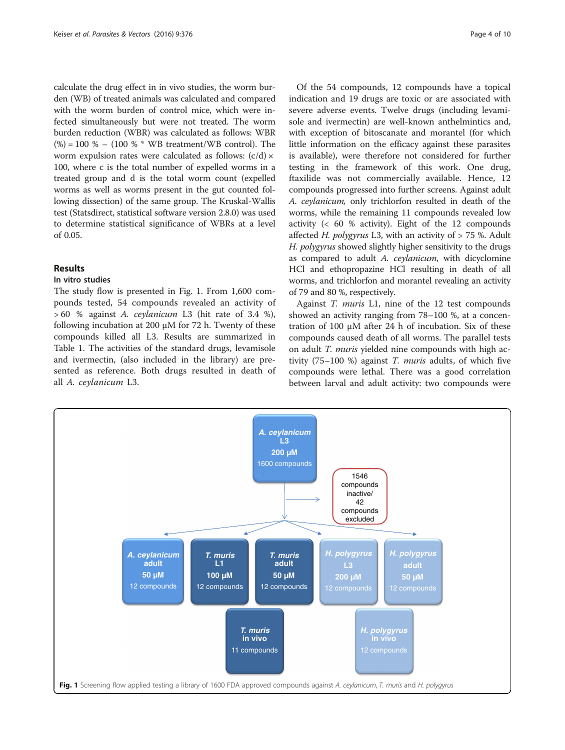calculate the drug effect in in vivo studies, the worm burden (WB) of treated animals was calculated and compared with the worm burden of control mice, which were infected simultaneously but were not treated. The worm burden reduction (WBR) was calculated as follows: WBR  $(\%) = 100 \% - (100 \% * WB treatment/WB control)$ . The worm expulsion rates were calculated as follows:  $(c/d) \times$ 100, where c is the total number of expelled worms in a treated group and d is the total worm count (expelled worms as well as worms present in the gut counted following dissection) of the same group. The Kruskal-Wallis test (Statsdirect, statistical software version 2.8.0) was used to determine statistical significance of WBRs at a level of 0.05.

## Results

## In vitro studies

The study flow is presented in Fig. 1. From 1,600 compounds tested, 54 compounds revealed an activity of > 60 % against A. ceylanicum L3 (hit rate of 3.4 %), following incubation at 200 μM for 72 h. Twenty of these compounds killed all L3. Results are summarized in Table [1](#page-4-0). The activities of the standard drugs, levamisole and ivermectin, (also included in the library) are presented as reference. Both drugs resulted in death of all A. ceylanicum L3.

Of the 54 compounds, 12 compounds have a topical indication and 19 drugs are toxic or are associated with severe adverse events. Twelve drugs (including levamisole and ivermectin) are well-known anthelmintics and, with exception of bitoscanate and morantel (for which little information on the efficacy against these parasites is available), were therefore not considered for further testing in the framework of this work. One drug, ftaxilide was not commercially available. Hence, 12 compounds progressed into further screens. Against adult A. ceylanicum, only trichlorfon resulted in death of the worms, while the remaining 11 compounds revealed low activity (< 60 % activity). Eight of the 12 compounds affected H. polygyrus L3, with an activity of  $> 75$  %. Adult H. polygyrus showed slightly higher sensitivity to the drugs as compared to adult A. ceylanicum, with dicyclomine HCl and ethopropazine HCl resulting in death of all worms, and trichlorfon and morantel revealing an activity of 79 and 80 %, respectively.

Against T. muris L1, nine of the 12 test compounds showed an activity ranging from 78–100 %, at a concentration of 100 μM after 24 h of incubation. Six of these compounds caused death of all worms. The parallel tests on adult T. muris yielded nine compounds with high activity  $(75-100)$ %) against *T. muris* adults, of which five compounds were lethal. There was a good correlation between larval and adult activity: two compounds were

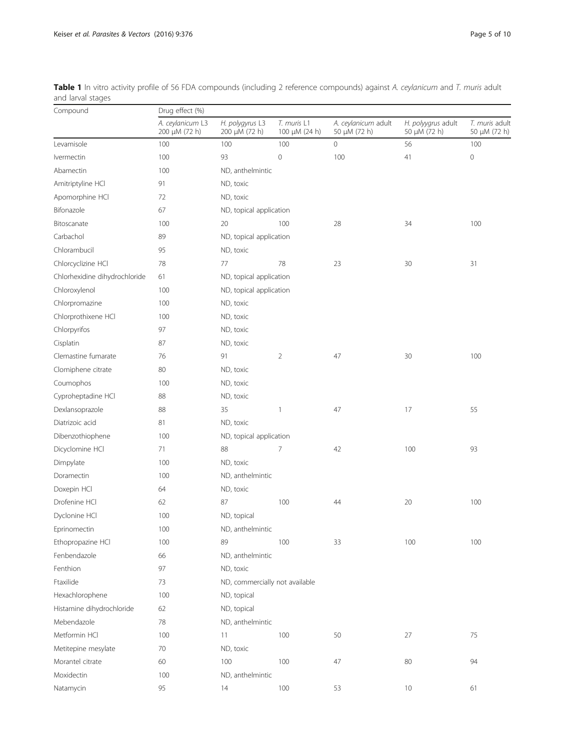| Compound                      | Drug effect (%)                   |                                  |                                   |                                     |                                    |                                |  |  |
|-------------------------------|-----------------------------------|----------------------------------|-----------------------------------|-------------------------------------|------------------------------------|--------------------------------|--|--|
|                               | A. ceylanicum L3<br>200 µM (72 h) | H. polygyrus L3<br>200 µM (72 h) | T. muris L1<br>100 $\mu$ M (24 h) | A. ceylanicum adult<br>50 µM (72 h) | H. polyygrus adult<br>50 µM (72 h) | T. muris adult<br>50 µM (72 h) |  |  |
| Levamisole                    | 100                               | 100                              | 100                               | 0                                   | 56                                 | 100                            |  |  |
| Ivermectin                    | 100                               | 93                               | $\mathbf 0$                       | 100                                 | 41                                 | $\mathbf 0$                    |  |  |
| Abamectin                     | 100                               | ND, anthelmintic                 |                                   |                                     |                                    |                                |  |  |
| Amitriptyline HCl             | 91                                | ND, toxic                        |                                   |                                     |                                    |                                |  |  |
| Apomorphine HCI               | 72                                | ND, toxic                        |                                   |                                     |                                    |                                |  |  |
| Bifonazole                    | 67                                | ND, topical application          |                                   |                                     |                                    |                                |  |  |
| Bitoscanate                   | 100                               | 20                               | 100                               | 28                                  | 34                                 | 100                            |  |  |
| Carbachol                     | 89                                | ND, topical application          |                                   |                                     |                                    |                                |  |  |
| Chlorambucil                  | 95                                | ND, toxic                        |                                   |                                     |                                    |                                |  |  |
| Chlorcyclizine HCl            | 78                                | 77                               | 78                                | 23                                  | 30                                 | 31                             |  |  |
| Chlorhexidine dihydrochloride | 61                                | ND, topical application          |                                   |                                     |                                    |                                |  |  |
| Chloroxylenol                 | 100                               |                                  | ND, topical application           |                                     |                                    |                                |  |  |
| Chlorpromazine                | 100                               | ND, toxic                        |                                   |                                     |                                    |                                |  |  |
| Chlorprothixene HCl           | 100                               | ND, toxic                        |                                   |                                     |                                    |                                |  |  |
| Chlorpyrifos                  | 97                                | ND, toxic                        |                                   |                                     |                                    |                                |  |  |
| Cisplatin                     | 87                                | ND, toxic                        |                                   |                                     |                                    |                                |  |  |
| Clemastine fumarate           | 76                                | 91                               | $\overline{2}$                    | 47                                  | 30                                 | 100                            |  |  |
| Clomiphene citrate            | 80                                | ND, toxic                        |                                   |                                     |                                    |                                |  |  |
| Coumophos                     | 100                               | ND, toxic                        |                                   |                                     |                                    |                                |  |  |
| Cyproheptadine HCl            | 88                                | ND, toxic                        |                                   |                                     |                                    |                                |  |  |
| Dexlansoprazole               | 88                                | 35                               | 1                                 | 47                                  | 17                                 | 55                             |  |  |
| Diatrizoic acid               | 81                                | ND, toxic                        |                                   |                                     |                                    |                                |  |  |
| Dibenzothiophene              | 100                               | ND, topical application          |                                   |                                     |                                    |                                |  |  |
| Dicyclomine HCl               | 71                                | 88                               | 7                                 | 42                                  | 100                                | 93                             |  |  |
| Dimpylate                     | 100                               | ND, toxic                        |                                   |                                     |                                    |                                |  |  |
| Doramectin                    | 100                               | ND, anthelmintic                 |                                   |                                     |                                    |                                |  |  |
| Doxepin HCl                   | 64                                | ND, toxic                        |                                   |                                     |                                    |                                |  |  |
| Drofenine HCl                 | 62                                | 87                               | 100                               | 44                                  | 20                                 | 100                            |  |  |
| Dyclonine HCl                 | 100                               | ND, topical                      |                                   |                                     |                                    |                                |  |  |
| Eprinomectin                  | 100                               | ND, anthelmintic                 |                                   |                                     |                                    |                                |  |  |
| Ethopropazine HCl             | 100                               | 89                               | 100                               | 33                                  | 100                                | 100                            |  |  |
| Fenbendazole                  | 66                                | ND, anthelmintic                 |                                   |                                     |                                    |                                |  |  |
| Fenthion                      | 97                                | ND, toxic                        |                                   |                                     |                                    |                                |  |  |
| Ftaxilide                     | 73                                | ND, commercially not available   |                                   |                                     |                                    |                                |  |  |
| Hexachlorophene               | 100                               | ND, topical                      |                                   |                                     |                                    |                                |  |  |
| Histamine dihydrochloride     | 62                                | ND, topical                      |                                   |                                     |                                    |                                |  |  |
| Mebendazole                   | 78                                | ND, anthelmintic                 |                                   |                                     |                                    |                                |  |  |
| Metformin HCl                 | 100                               | 11                               | 100                               | 50                                  | 27                                 | 75                             |  |  |
| Metitepine mesylate           | 70                                | ND, toxic                        |                                   |                                     |                                    |                                |  |  |
| Morantel citrate              | 60                                | 100                              | 100                               | 47                                  | 80                                 | 94                             |  |  |
| Moxidectin                    | 100                               | ND, anthelmintic                 |                                   |                                     |                                    |                                |  |  |
| Natamycin                     | 95                                | 14                               | 100                               | 53                                  | 10                                 | 61                             |  |  |
|                               |                                   |                                  |                                   |                                     |                                    |                                |  |  |

<span id="page-4-0"></span>Table 1 In vitro activity profile of 56 FDA compounds (including 2 reference compounds) against A. ceylanicum and T. muris adult and larval stages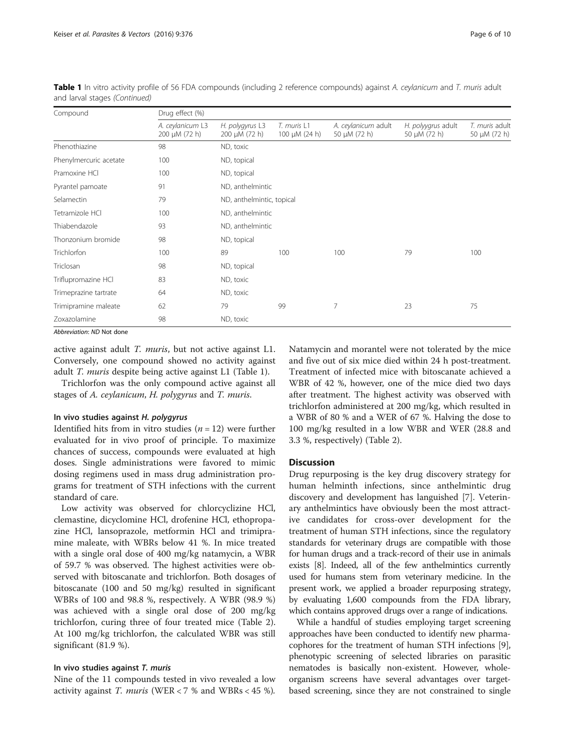| Compound               | Drug effect (%)                        |                                       |                                   |                                     |                                         |                                     |  |  |  |
|------------------------|----------------------------------------|---------------------------------------|-----------------------------------|-------------------------------------|-----------------------------------------|-------------------------------------|--|--|--|
|                        | A. ceylanicum L3<br>200 $\mu$ M (72 h) | H. polygyrus L3<br>$200 \mu M (72 h)$ | T. muris L1<br>100 $\mu$ M (24 h) | A. ceylanicum adult<br>50 μM (72 h) | H. polyygrus adult<br>50 $\mu$ M (72 h) | T. muris adult<br>50 $\mu$ M (72 h) |  |  |  |
| Phenothiazine          | 98                                     | ND, toxic                             |                                   |                                     |                                         |                                     |  |  |  |
| Phenylmercuric acetate | 100                                    | ND, topical                           |                                   |                                     |                                         |                                     |  |  |  |
| Pramoxine HCl          | 100                                    | ND, topical                           |                                   |                                     |                                         |                                     |  |  |  |
| Pyrantel pamoate       | 91                                     | ND, anthelmintic                      |                                   |                                     |                                         |                                     |  |  |  |
| Selamectin             | 79                                     | ND, anthelmintic, topical             |                                   |                                     |                                         |                                     |  |  |  |
| Tetramizole HCl        | 100                                    | ND, anthelmintic                      |                                   |                                     |                                         |                                     |  |  |  |
| Thiabendazole          | 93                                     | ND, anthelmintic                      |                                   |                                     |                                         |                                     |  |  |  |
| Thonzonium bromide     | 98                                     | ND, topical                           |                                   |                                     |                                         |                                     |  |  |  |
| Trichlorfon            | 100                                    | 89                                    | 100                               | 100                                 | 79                                      | 100                                 |  |  |  |
| Triclosan              | 98                                     | ND, topical                           |                                   |                                     |                                         |                                     |  |  |  |
| Triflupromazine HCl    | 83                                     | ND, toxic                             |                                   |                                     |                                         |                                     |  |  |  |
| Trimeprazine tartrate  | 64                                     | ND, toxic                             |                                   |                                     |                                         |                                     |  |  |  |
| Trimipramine maleate   | 62                                     | 79                                    | 99                                | 7                                   | 23                                      | 75                                  |  |  |  |
| Zoxazolamine           | 98                                     | ND, toxic                             |                                   |                                     |                                         |                                     |  |  |  |

Table 1 In vitro activity profile of 56 FDA compounds (including 2 reference compounds) against A. ceylanicum and T. muris adult and larval stages (Continued)

Abbreviation: ND Not done

active against adult T. muris, but not active against L1. Conversely, one compound showed no activity against adult T. muris despite being active against L1 (Table [1](#page-4-0)).

Trichlorfon was the only compound active against all stages of A. ceylanicum, H. polygyrus and T. muris.

#### In vivo studies against H. polygyrus

Identified hits from in vitro studies ( $n = 12$ ) were further evaluated for in vivo proof of principle. To maximize chances of success, compounds were evaluated at high doses. Single administrations were favored to mimic dosing regimens used in mass drug administration programs for treatment of STH infections with the current standard of care.

Low activity was observed for chlorcyclizine HCl, clemastine, dicyclomine HCl, drofenine HCl, ethopropazine HCl, lansoprazole, metformin HCl and trimipramine maleate, with WBRs below 41 %. In mice treated with a single oral dose of 400 mg/kg natamycin, a WBR of 59.7 % was observed. The highest activities were observed with bitoscanate and trichlorfon. Both dosages of bitoscanate (100 and 50 mg/kg) resulted in significant WBRs of 100 and 98.8 %, respectively. A WBR (98.9 %) was achieved with a single oral dose of 200 mg/kg trichlorfon, curing three of four treated mice (Table [2](#page-6-0)). At 100 mg/kg trichlorfon, the calculated WBR was still significant (81.9 %).

## In vivo studies against T. muris

Nine of the 11 compounds tested in vivo revealed a low activity against T. muris (WER < 7 % and WBRs < 45 %). Natamycin and morantel were not tolerated by the mice and five out of six mice died within 24 h post-treatment. Treatment of infected mice with bitoscanate achieved a WBR of 42 %, however, one of the mice died two days after treatment. The highest activity was observed with trichlorfon administered at 200 mg/kg, which resulted in a WBR of 80 % and a WER of 67 %. Halving the dose to 100 mg/kg resulted in a low WBR and WER (28.8 and 3.3 %, respectively) (Table [2](#page-6-0)).

#### **Discussion**

Drug repurposing is the key drug discovery strategy for human helminth infections, since anthelmintic drug discovery and development has languished [\[7](#page-8-0)]. Veterinary anthelmintics have obviously been the most attractive candidates for cross-over development for the treatment of human STH infections, since the regulatory standards for veterinary drugs are compatible with those for human drugs and a track-record of their use in animals exists [\[8\]](#page-8-0). Indeed, all of the few anthelmintics currently used for humans stem from veterinary medicine. In the present work, we applied a broader repurposing strategy, by evaluating 1,600 compounds from the FDA library, which contains approved drugs over a range of indications.

While a handful of studies employing target screening approaches have been conducted to identify new pharmacophores for the treatment of human STH infections [[9](#page-8-0)], phenotypic screening of selected libraries on parasitic nematodes is basically non-existent. However, wholeorganism screens have several advantages over targetbased screening, since they are not constrained to single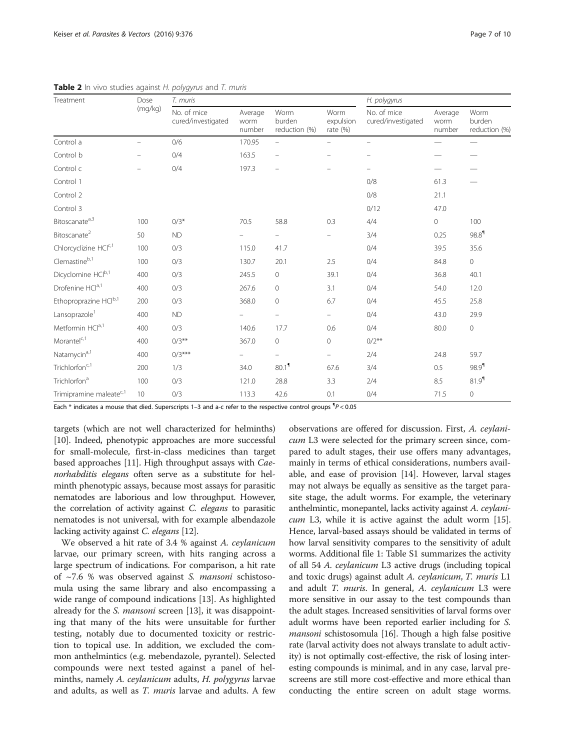| Treatment                           | Dose<br>(mq/kg) | T. muris                          |                           |                                 |                                 | H. polygyrus                      |                           |                                 |
|-------------------------------------|-----------------|-----------------------------------|---------------------------|---------------------------------|---------------------------------|-----------------------------------|---------------------------|---------------------------------|
|                                     |                 | No. of mice<br>cured/investigated | Average<br>worm<br>number | Worm<br>burden<br>reduction (%) | Worm<br>expulsion<br>rate $(%)$ | No. of mice<br>cured/investigated | Average<br>worm<br>number | Worm<br>burden<br>reduction (%) |
| Control a                           |                 | 0/6                               | 170.95                    | $\overline{\phantom{m}}$        |                                 | $\frac{1}{2}$                     |                           |                                 |
| Control b                           |                 | 0/4                               | 163.5                     | $\overline{\phantom{0}}$        |                                 |                                   |                           |                                 |
| Control c                           |                 | 0/4                               | 197.3                     | $\overline{a}$                  |                                 | ÷                                 |                           |                                 |
| Control 1                           |                 |                                   |                           |                                 |                                 | 0/8                               | 61.3                      |                                 |
| Control 2                           |                 |                                   |                           |                                 |                                 | 0/8                               | 21.1                      |                                 |
| Control 3                           |                 |                                   |                           |                                 |                                 | 0/12                              | 47.0                      |                                 |
| Bitoscanate <sup>a,3</sup>          | 100             | $0/3*$                            | 70.5                      | 58.8                            | 0.3                             | 4/4                               | $\mathbf 0$               | 100                             |
| Bitoscanate <sup>2</sup>            | 50              | <b>ND</b>                         |                           |                                 |                                 | 3/4                               | 0.25                      | $98.8$ <sup>1</sup>             |
| Chlorcyclizine HCIC,1               | 100             | 0/3                               | 115.0                     | 41.7                            |                                 | 0/4                               | 39.5                      | 35.6                            |
| $C$ lemastine $b,1$                 | 100             | 0/3                               | 130.7                     | 20.1                            | 2.5                             | 0/4                               | 84.8                      | $\circ$                         |
| Dicyclomine HClb,1                  | 400             | 0/3                               | 245.5                     | $\circ$                         | 39.1                            | 0/4                               | 36.8                      | 40.1                            |
| Drofenine HCla,1                    | 400             | 0/3                               | 267.6                     | $\mathbb O$                     | 3.1                             | 0/4                               | 54.0                      | 12.0                            |
| Ethoproprazine HClb,1               | 200             | 0/3                               | 368.0                     | $\mathbf 0$                     | 6.7                             | 0/4                               | 45.5                      | 25.8                            |
| Lansoprazole <sup>1</sup>           | 400             | <b>ND</b>                         |                           | $\overline{\phantom{a}}$        | $\qquad \qquad -$               | 0/4                               | 43.0                      | 29.9                            |
| Metformin HCla,1                    | 400             | 0/3                               | 140.6                     | 17.7                            | 0.6                             | 0/4                               | 80.0                      | 0                               |
| $Morantel^{c,1}$                    | 400             | $0/3**$                           | 367.0                     | $\circ$                         | $\Omega$                        | $0/2**$                           |                           |                                 |
| Natamycin <sup>a,1</sup>            | 400             | $0/3***$                          |                           | $\overline{\phantom{a}}$        |                                 | 2/4                               | 24.8                      | 59.7                            |
| Trichlorfon <sup>c,1</sup>          | 200             | 1/3                               | 34.0                      | 80.1 <sup>1</sup>               | 67.6                            | 3/4                               | 0.5                       | 98.9 <sup>1</sup>               |
| Trichlorfon <sup>a</sup>            | 100             | 0/3                               | 121.0                     | 28.8                            | 3.3                             | 2/4                               | 8.5                       | 81.9 <sup>1</sup>               |
| Trimipramine maleate <sup>c,1</sup> | 10              | 0/3                               | 113.3                     | 42.6                            | 0.1                             | 0/4                               | 71.5                      | $\mathbf 0$                     |

<span id="page-6-0"></span>**Table 2** In vivo studies against H. polygyrus and  $T$  muris

Each  $*$  indicates a mouse that died. Superscripts 1–3 and a-c refer to the respective control groups  ${}^4P$  < 0.05

targets (which are not well characterized for helminths) [[10](#page-8-0)]. Indeed, phenotypic approaches are more successful for small-molecule, first-in-class medicines than target based approaches [[11](#page-8-0)]. High throughput assays with Caenorhabditis elegans often serve as a substitute for helminth phenotypic assays, because most assays for parasitic nematodes are laborious and low throughput. However, the correlation of activity against C. elegans to parasitic nematodes is not universal, with for example albendazole lacking activity against C. elegans [\[12](#page-8-0)].

We observed a hit rate of 3.4 % against A. ceylanicum larvae, our primary screen, with hits ranging across a large spectrum of indications. For comparison, a hit rate of  $\sim$ 7.6 % was observed against *S. mansoni* schistosomula using the same library and also encompassing a wide range of compound indications [[13\]](#page-8-0). As highlighted already for the *S. mansoni* screen [\[13](#page-8-0)], it was disappointing that many of the hits were unsuitable for further testing, notably due to documented toxicity or restriction to topical use. In addition, we excluded the common anthelmintics (e.g. mebendazole, pyrantel). Selected compounds were next tested against a panel of helminths, namely A. *ceylanicum* adults, H. *polygyrus* larvae and adults, as well as T. *muris* larvae and adults. A few

observations are offered for discussion. First, A. ceylanicum L3 were selected for the primary screen since, compared to adult stages, their use offers many advantages, mainly in terms of ethical considerations, numbers available, and ease of provision [[14\]](#page-8-0). However, larval stages may not always be equally as sensitive as the target parasite stage, the adult worms. For example, the veterinary anthelmintic, monepantel, lacks activity against A. ceylanicum L3, while it is active against the adult worm [[15](#page-8-0)]. Hence, larval-based assays should be validated in terms of how larval sensitivity compares to the sensitivity of adult worms. Additional file [1:](#page-8-0) Table S1 summarizes the activity of all 54 A. ceylanicum L3 active drugs (including topical and toxic drugs) against adult A. ceylanicum, T. muris L1 and adult T. muris. In general, A. ceylanicum L3 were more sensitive in our assay to the test compounds than the adult stages. Increased sensitivities of larval forms over adult worms have been reported earlier including for S. mansoni schistosomula [\[16\]](#page-8-0). Though a high false positive rate (larval activity does not always translate to adult activity) is not optimally cost-effective, the risk of losing interesting compounds is minimal, and in any case, larval prescreens are still more cost-effective and more ethical than conducting the entire screen on adult stage worms.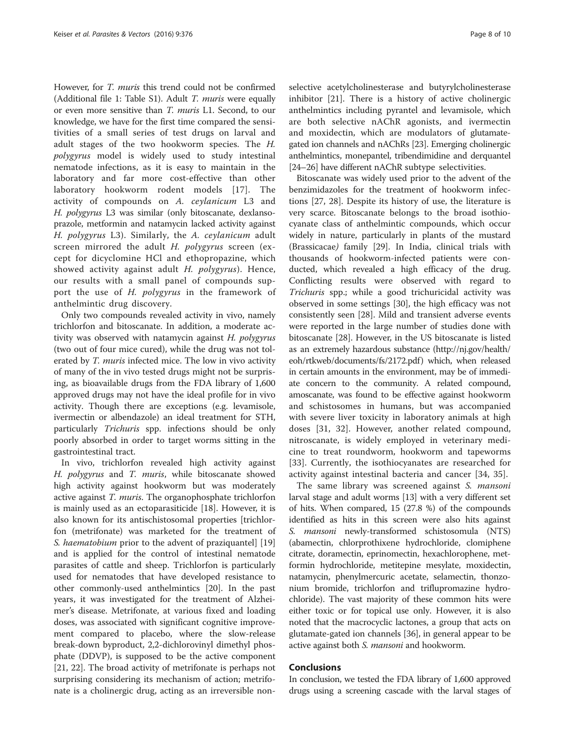However, for T. muris this trend could not be confirmed (Additional file [1](#page-8-0): Table S1). Adult T. muris were equally or even more sensitive than T. muris L1. Second, to our knowledge, we have for the first time compared the sensitivities of a small series of test drugs on larval and adult stages of the two hookworm species. The H. polygyrus model is widely used to study intestinal nematode infections, as it is easy to maintain in the laboratory and far more cost-effective than other laboratory hookworm rodent models [[17](#page-8-0)]. The activity of compounds on A. ceylanicum L3 and H. polygyrus L3 was similar (only bitoscanate, dexlansoprazole, metformin and natamycin lacked activity against H. polygyrus L3). Similarly, the A. ceylanicum adult screen mirrored the adult H. polygyrus screen (except for dicyclomine HCl and ethopropazine, which showed activity against adult H. polygyrus). Hence, our results with a small panel of compounds support the use of H. polygyrus in the framework of anthelmintic drug discovery.

Only two compounds revealed activity in vivo, namely trichlorfon and bitoscanate. In addition, a moderate activity was observed with natamycin against H. polygyrus (two out of four mice cured), while the drug was not tolerated by *T. muris* infected mice. The low in vivo activity of many of the in vivo tested drugs might not be surprising, as bioavailable drugs from the FDA library of 1,600 approved drugs may not have the ideal profile for in vivo activity. Though there are exceptions (e.g. levamisole, ivermectin or albendazole) an ideal treatment for STH, particularly Trichuris spp. infections should be only poorly absorbed in order to target worms sitting in the gastrointestinal tract.

In vivo, trichlorfon revealed high activity against H. polygyrus and T. muris, while bitoscanate showed high activity against hookworm but was moderately active against T. muris. The organophosphate trichlorfon is mainly used as an ectoparasiticide [[18\]](#page-8-0). However, it is also known for its antischistosomal properties [trichlorfon (metrifonate) was marketed for the treatment of S. haematobium prior to the advent of praziquantel [[19](#page-8-0)] and is applied for the control of intestinal nematode parasites of cattle and sheep. Trichlorfon is particularly used for nematodes that have developed resistance to other commonly-used anthelmintics [[20\]](#page-8-0). In the past years, it was investigated for the treatment of Alzheimer's disease. Metrifonate, at various fixed and loading doses, was associated with significant cognitive improvement compared to placebo, where the slow-release break-down byproduct, 2,2-dichlorovinyl dimethyl phosphate (DDVP), is supposed to be the active component [[21, 22\]](#page-8-0). The broad activity of metrifonate is perhaps not surprising considering its mechanism of action; metrifonate is a cholinergic drug, acting as an irreversible non-

selective acetylcholinesterase and butyrylcholinesterase inhibitor [\[21](#page-8-0)]. There is a history of active cholinergic anthelmintics including pyrantel and levamisole, which are both selective nAChR agonists, and ivermectin and moxidectin, which are modulators of glutamategated ion channels and nAChRs [\[23\]](#page-8-0). Emerging cholinergic anthelmintics, monepantel, tribendimidine and derquantel [[24](#page-8-0)–[26\]](#page-8-0) have different nAChR subtype selectivities.

Bitoscanate was widely used prior to the advent of the benzimidazoles for the treatment of hookworm infections [\[27](#page-8-0), [28\]](#page-8-0). Despite its history of use, the literature is very scarce. Bitoscanate belongs to the broad isothiocyanate class of anthelmintic compounds, which occur widely in nature, particularly in plants of the mustard (Brassicacae) family [\[29](#page-9-0)]. In India, clinical trials with thousands of hookworm-infected patients were conducted, which revealed a high efficacy of the drug. Conflicting results were observed with regard to Trichuris spp.; while a good trichuricidal activity was observed in some settings [[30](#page-9-0)], the high efficacy was not consistently seen [[28](#page-8-0)]. Mild and transient adverse events were reported in the large number of studies done with bitoscanate [[28\]](#page-8-0). However, in the US bitoscanate is listed as an extremely hazardous substance ([http://nj.gov/health/](http://nj.gov/health/eoh/rtkweb/documents/fs/2172.pdf) [eoh/rtkweb/documents/fs/2172.pdf](http://nj.gov/health/eoh/rtkweb/documents/fs/2172.pdf)) which, when released in certain amounts in the environment, may be of immediate concern to the community. A related compound, amoscanate, was found to be effective against hookworm and schistosomes in humans, but was accompanied with severe liver toxicity in laboratory animals at high doses [\[31](#page-9-0), [32](#page-9-0)]. However, another related compound, nitroscanate, is widely employed in veterinary medicine to treat roundworm, hookworm and tapeworms [[33\]](#page-9-0). Currently, the isothiocyanates are researched for activity against intestinal bacteria and cancer [[34](#page-9-0), [35](#page-9-0)].

The same library was screened against S. mansoni larval stage and adult worms [\[13\]](#page-8-0) with a very different set of hits. When compared, 15 (27.8 %) of the compounds identified as hits in this screen were also hits against S. *mansoni* newly-transformed schistosomula (NTS) (abamectin, chlorprothixene hydrochloride, clomiphene citrate, doramectin, eprinomectin, hexachlorophene, metformin hydrochloride, metitepine mesylate, moxidectin, natamycin, phenylmercuric acetate, selamectin, thonzonium bromide, trichlorfon and triflupromazine hydrochloride). The vast majority of these common hits were either toxic or for topical use only. However, it is also noted that the macrocyclic lactones, a group that acts on glutamate-gated ion channels [[36](#page-9-0)], in general appear to be active against both S. mansoni and hookworm.

## Conclusions

In conclusion, we tested the FDA library of 1,600 approved drugs using a screening cascade with the larval stages of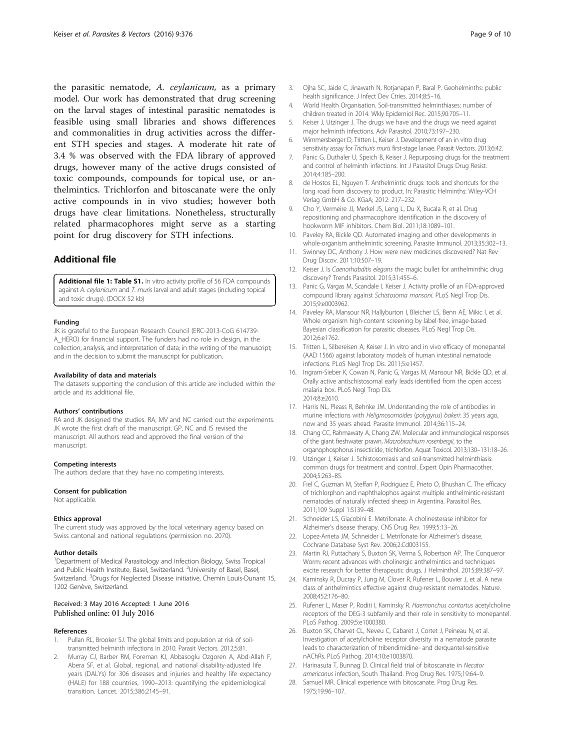<span id="page-8-0"></span>the parasitic nematode, A. ceylanicum, as a primary model. Our work has demonstrated that drug screening on the larval stages of intestinal parasitic nematodes is feasible using small libraries and shows differences and commonalities in drug activities across the different STH species and stages. A moderate hit rate of 3.4 % was observed with the FDA library of approved drugs, however many of the active drugs consisted of toxic compounds, compounds for topical use, or anthelmintics. Trichlorfon and bitoscanate were the only active compounds in in vivo studies; however both drugs have clear limitations. Nonetheless, structurally related pharmacophores might serve as a starting point for drug discovery for STH infections.

## Additional file

[Additional file 1: Table S1.](dx.doi.org/10.1186/s13071-016-1616-0) In vitro activity profile of 56 FDA compounds against A. ceylanicum and T. muris larval and adult stages (including topical and toxic drugs). (DOCX 52 kb)

#### Funding

JK is grateful to the European Research Council (ERC-2013-CoG 614739- A\_HERO) for financial support. The funders had no role in design, in the collection, analysis, and interpretation of data; in the writing of the manuscript; and in the decision to submit the manuscript for publication.

#### Availability of data and materials

The datasets supporting the conclusion of this article are included within the article and its additional file.

#### Authors' contributions

RA and JK designed the studies. RA, MV and NC carried out the experiments. JK wrote the first draft of the manuscript. GP, NC and IS revised the manuscript. All authors read and approved the final version of the manuscript.

#### Competing interests

The authors declare that they have no competing interests.

#### Consent for publication

Not applicable.

#### Ethics approval

The current study was approved by the local veterinary agency based on Swiss cantonal and national regulations (permission no. 2070).

#### Author details

<sup>1</sup>Department of Medical Parasitology and Infection Biology, Swiss Tropical and Public Health Institute, Basel, Switzerland. <sup>2</sup>University of Basel, Basel, Switzerland. <sup>3</sup>Drugs for Neglected Disease initiative, Chemin Louis-Dunant 15, 1202 Genève, Switzerland.

#### Received: 3 May 2016 Accepted: 1 June 2016 Published online: 01 July 2016

#### References

- 1. Pullan RL, Brooker SJ. The global limits and population at risk of soiltransmitted helminth infections in 2010. Parasit Vectors. 2012;5:81.
- 2. Murray CJ, Barber RM, Foreman KJ, Abbasoglu Ozgoren A, Abd-Allah F, Abera SF, et al. Global, regional, and national disability-adjusted life years (DALYs) for 306 diseases and injuries and healthy life expectancy (HALE) for 188 countries, 1990–2013: quantifying the epidemiological transition. Lancet. 2015;386:2145–91.
- 3. Ojha SC, Jaide C, Jinawath N, Rotjanapan P, Baral P. Geohelminths: public health significance. J Infect Dev Ctries. 2014;8:5–16.
- 4. World Health Organisation. Soil-transmitted helminthiases: number of children treated in 2014. Wkly Epidemiol Rec. 2015;90:705–11.
- Keiser J, Utzinger J. The drugs we have and the drugs we need against major helminth infections. Adv Parasitol. 2010;73:197–230.
- 6. Wimmersberger D, Tritten L, Keiser J. Development of an in vitro drug sensitivity assay for *Trichuris muris* first-stage larvae. Parasit Vectors. 2013;6:42.
- 7. Panic G, Duthaler U, Speich B, Keiser J. Repurposing drugs for the treatment and control of helminth infections. Int J Parasitol Drugs Drug Resist. 2014;4:185–200.
- 8. de Hostos EL, Nguyen T. Anthelmintic drugs: tools and shortcuts for the long road from discovery to product. In: Parasitic Helminths: Wiley-VCH Verlag GmbH & Co. KGaA; 2012: 217–232.
- 9. Cho Y, Vermeire JJ, Merkel JS, Leng L, Du X, Bucala R, et al. Drug repositioning and pharmacophore identification in the discovery of hookworm MIF inhibitors. Chem Biol. 2011;18:1089–101.
- 10. Paveley RA, Bickle QD. Automated imaging and other developments in whole-organism anthelmintic screening. Parasite Immunol. 2013;35:302–13.
- 11. Swinney DC, Anthony J. How were new medicines discovered? Nat Rev Drug Discov. 2011;10:507–19.
- 12. Keiser J. Is Caenorhabditis elegans the magic bullet for anthelminthic drug discovery? Trends Parasitol. 2015;31:455–6.
- 13. Panic G, Vargas M, Scandale I, Keiser J. Activity profile of an FDA-approved compound library against Schistosoma mansoni. PLoS Negl Trop Dis. 2015;9:e0003962.
- 14. Paveley RA, Mansour NR, Hallyburton I, Bleicher LS, Benn AE, Mikic I, et al. Whole organism high-content screening by label-free, image-based Bayesian classification for parasitic diseases. PLoS Negl Trop Dis. 2012;6:e1762.
- 15. Tritten L, Silbereisen A, Keiser J. In vitro and in vivo efficacy of monepantel (AAD 1566) against laboratory models of human intestinal nematode infections. PLoS Negl Trop Dis. 2011;5:e1457.
- 16. Ingram-Sieber K, Cowan N, Panic G, Vargas M, Mansour NR, Bickle QD, et al. Orally active antischistosomal early leads identified from the open access malaria box. PLoS Negl Trop Dis. 2014;8:e2610.
- 17. Harris NL, Pleass R, Behnke JM. Understanding the role of antibodies in murine infections with Heligmosomoides (polygyrus) bakeri: 35 years ago, now and 35 years ahead. Parasite Immunol. 2014;36:115–24.
- 18. Chang CC, Rahmawaty A, Chang ZW. Molecular and immunological responses of the giant freshwater prawn, Macrobrachium rosenbergii, to the organophosphorus insecticide, trichlorfon. Aquat Toxicol. 2013;130–131:18–26.
- 19. Utzinger J, Keiser J. Schistosomiasis and soil-transmitted helminthiasis: common drugs for treatment and control. Expert Opin Pharmacother. 2004;5:263–85.
- 20. Fiel C, Guzman M, Steffan P, Rodriguez E, Prieto O, Bhushan C. The efficacy of trichlorphon and naphthalophos against multiple anthelmintic-resistant nematodes of naturally infected sheep in Argentina. Parasitol Res. 2011;109 Suppl 1:S139–48.
- 21. Schneider LS, Giacobini E. Metrifonate. A cholinesterase inhibitor for Alzheimer's disease therapy. CNS Drug Rev. 1999;5:13–26.
- 22. Lopez-Arrieta JM, Schneider L. Metrifonate for Alzheimer's disease. Cochrane Database Syst Rev. 2006;2:Cd003155.
- 23. Martin RJ, Puttachary S, Buxton SK, Verma S, Robertson AP. The Conqueror Worm: recent advances with cholinergic anthelmintics and techniques excite research for better therapeutic drugs. J Helminthol. 2015;89:387–97.
- 24. Kaminsky R, Ducray P, Jung M, Clover R, Rufener L, Bouvier J, et al. A new class of anthelmintics effective against drug-resistant nematodes. Nature. 2008;452:176–80.
- 25. Rufener L, Maser P, Roditi I, Kaminsky R. Haemonchus contortus acetylcholine receptors of the DEG-3 subfamily and their role in sensitivity to monepantel. PLoS Pathog. 2009;5:e1000380.
- 26. Buxton SK, Charvet CL, Neveu C, Cabaret J, Cortet J, Peineau N, et al. Investigation of acetylcholine receptor diversity in a nematode parasite leads to characterization of tribendimidine- and derquantel-sensitive nAChRs. PLoS Pathog. 2014;10:e1003870.
- 27. Harinasuta T, Bunnag D. Clinical field trial of bitoscanate in Necator americanus infection, South Thailand. Prog Drug Res. 1975;19:64–9.
- 28. Samuel MR. Clinical experience with bitoscanate. Prog Drug Res. 1975;19:96–107.